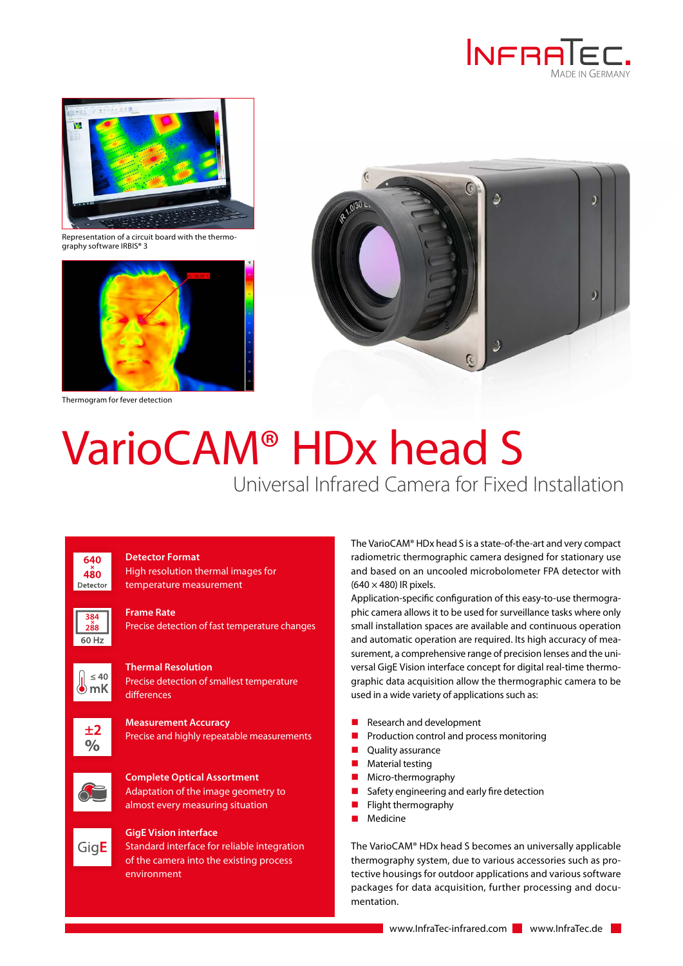



Representation of a circuit board with the thermo-graphy software IRBIS**®** 3



Thermogram for fever detection



## VarioCAM® HDx head S

Universal Infrared Camera for Fixed Installation



**Detector Format** High resolution thermal images for temperature measurement



**Frame Rate**

Precise detection of fast temperature changes



**Thermal Resolution** Precise detection of smallest temperature differences



**Measurement Accuracy** Precise and highly repeatable measurements







## **GigE Vision interface**

Standard interface for reliable integration of the camera into the existing process environment

The VarioCAM® HDx head S is a state-of-the-art and very compact radiometric thermographic camera designed for stationary use and based on an uncooled microbolometer FPA detector with  $(640 \times 480)$  IR pixels.

Application-specific configuration of this easy-to-use thermographic camera allows it to be used for surveillance tasks where only small installation spaces are available and continuous operation and automatic operation are required. Its high accuracy of measurement, a comprehensive range of precision lenses and the universal GigE Vision interface concept for digital real-time thermographic data acquisition allow the thermographic camera to be used in a wide variety of applications such as:

- Research and development
- $\blacksquare$  Production control and process monitoring
- **Quality assurance**
- **Material testing**
- **Micro-thermography**
- Safety engineering and early fire detection
- $\blacksquare$  Flight thermography
- **Medicine**

The VarioCAM® HDx head S becomes an universally applicable thermography system, due to various accessories such as protective housings for outdoor applications and various software packages for data acquisition, further processing and documentation.